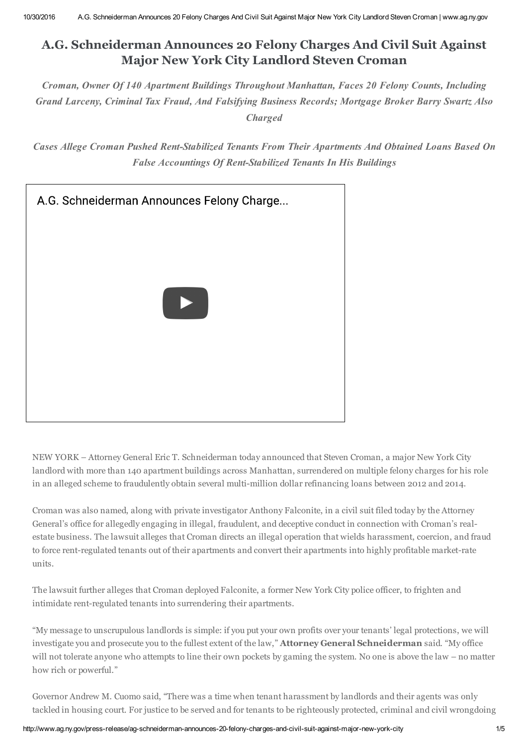# **A.G. Schneiderman Announces 20 Felony Charges And Civil Suit Against Major New York City Landlord Steven Croman**

*Croman, Owner Of 140 Apartment Buildings Throughout Manhattan, Faces 20 Felony Counts, Including Grand Larceny, Criminal Tax Fraud, And Falsifying Business Records; Mortgage Broker Barry Swartz Also Charged*

*Cases Allege Croman Pushed Rent-Stabilized Tenants From Their Apartments And Obtained Loans Based On False Accountings Of Rent-Stabilized Tenants In His Buildings*



NEW YORK – Attorney General Eric T. Schneiderman today announced that Steven Croman, a major New York City landlord with more than 140 apartment buildings across Manhattan, surrendered on multiple felony charges for his role in an alleged scheme to fraudulently obtain several multi-million dollar refinancing loans between 2012 and 2014.

Croman was also named, along with private investigator Anthony Falconite, in a civil suit filed today by the Attorney General's office for allegedly engaging in illegal, fraudulent, and deceptive conduct in connection with Croman's realestate business. The lawsuit alleges that Croman directs an illegal operation that wields harassment, coercion, and fraud to force rent-regulated tenants out of their apartments and convert their apartments into highly profitable market-rate units.

The lawsuit further alleges that Croman deployed Falconite, a former New York City police officer, to frighten and intimidate rent-regulated tenants into surrendering their apartments.

"My message to unscrupulous landlords is simple: if you put your own profits over your tenants' legal protections, we will investigate you and prosecute you to the fullest extent of the law," **Attorney General Schneiderman** said. "My office will not tolerate anyone who attempts to line their own pockets by gaming the system. No one is above the law – no matter how rich or powerful."

Governor Andrew M. Cuomo said, "There was a time when tenant harassment by landlords and their agents was only tackled in housing court. For justice to be served and for tenants to be righteously protected, criminal and civil wrongdoing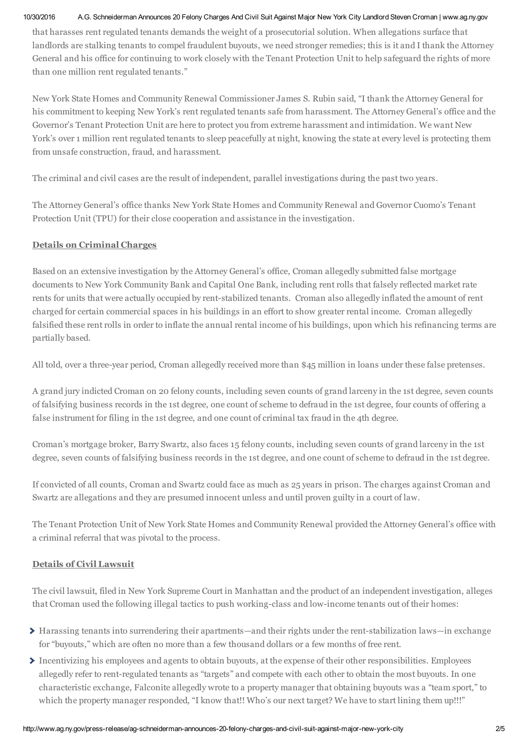#### 10/30/2016 A.G. Schneiderman Announces 20 Felony Charges And Civil Suit Against Major New York City Landlord Steven Croman | www.ag.ny.gov

that harasses rent regulated tenants demands the weight of a prosecutorial solution. When allegations surface that landlords are stalking tenants to compel fraudulent buyouts, we need stronger remedies; this is it and I thank the Attorney General and his office for continuing to work closely with the Tenant Protection Unit to help safeguard the rights of more than one million rent regulated tenants."

New York State Homes and Community Renewal Commissioner James S. Rubin said, "I thank the Attorney General for his commitment to keeping New York's rent regulated tenants safe from harassment. The Attorney General's office and the Governor's Tenant Protection Unit are here to protect you from extreme harassment and intimidation. We want New York's over 1 million rent regulated tenants to sleep peacefully at night, knowing the state at every level is protecting them from unsafe construction, fraud, and harassment.

The criminal and civil cases are the result of independent, parallel investigations during the past two years.

The Attorney General's office thanks New York State Homes and Community Renewal and Governor Cuomo's Tenant Protection Unit (TPU) for their close cooperation and assistance in the investigation.

# **Details on Criminal Charges**

Based on an extensive investigation by the Attorney General's office, Croman allegedly submitted false mortgage documents to New York Community Bank and Capital One Bank, including rent rolls that falsely reflected market rate rents for units that were actually occupied by rent-stabilized tenants. Croman also allegedly inflated the amount of rent charged for certain commercial spaces in his buildings in an effort to show greater rental income. Croman allegedly falsified these rent rolls in order to inflate the annual rental income of his buildings, upon which his refinancing terms are partially based.

All told, over a three-year period, Croman allegedly received more than \$45 million in loans under these false pretenses.

A grand jury indicted Croman on 20 felony counts, including seven counts of grand larceny in the 1st degree, seven counts of falsifying business records in the 1st degree, one count of scheme to defraud in the 1st degree, four counts of offering a false instrument for filing in the 1st degree, and one count of criminal tax fraud in the 4th degree.

Croman's mortgage broker, Barry Swartz, also faces 15 felony counts, including seven counts of grand larceny in the 1st degree, seven counts of falsifying business records in the 1st degree, and one count of scheme to defraud in the 1st degree.

If convicted of all counts, Croman and Swartz could face as much as 25 years in prison. The charges against Croman and Swartz are allegations and they are presumed innocent unless and until proven guilty in a court of law.

The Tenant Protection Unit of New York State Homes and Community Renewal provided the Attorney General's office with a criminal referral that was pivotal to the process.

# **Details of Civil Lawsuit**

The civil lawsuit, filed in New York Supreme Court in Manhattan and the product of an independent investigation, alleges that Croman used the following illegal tactics to push working-class and low-income tenants out of their homes:

- Harassing tenants into surrendering their apartments—and their rights under the rent-stabilization laws—in exchange for "buyouts," which are often no more than a few thousand dollars or a few months of free rent.
- Incentivizing his employees and agents to obtain buyouts, at the expense of their other responsibilities. Employees allegedly refer to rent-regulated tenants as "targets" and compete with each other to obtain the most buyouts. In one characteristic exchange, Falconite allegedly wrote to a property manager that obtaining buyouts was a "team sport," to which the property manager responded, "I know that!! Who's our next target? We have to start lining them up!!!"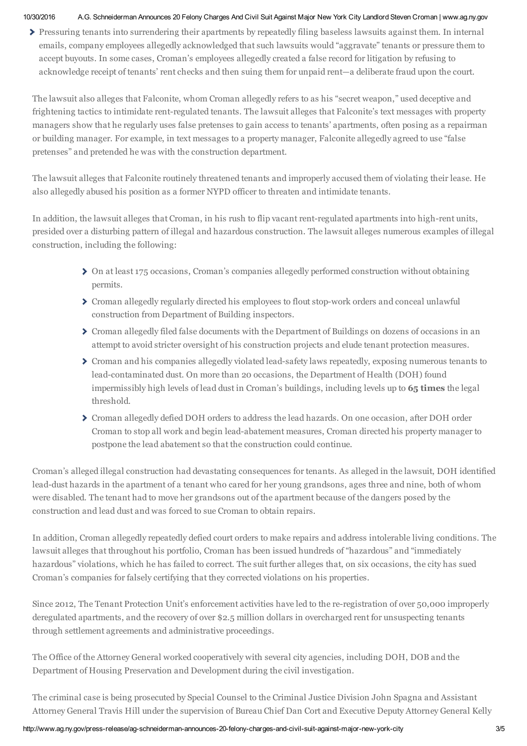#### 10/30/2016 A.G. Schneiderman Announces 20 Felony Charges And Civil Suit Against Major New York City Landlord Steven Croman | www.ag.ny.gov

Pressuring tenants into surrendering their apartments by repeatedly filing baseless lawsuits against them. In internal emails, company employees allegedly acknowledged that such lawsuits would "aggravate" tenants or pressure them to accept buyouts. In some cases, Croman's employees allegedly created a false record for litigation by refusing to acknowledge receipt of tenants' rent checks and then suing them for unpaid rent—a deliberate fraud upon the court.

The lawsuit also alleges that Falconite, whom Croman allegedly refers to as his "secret weapon," used deceptive and frightening tactics to intimidate rent-regulated tenants. The lawsuit alleges that Falconite's text messages with property managers show that he regularly uses false pretenses to gain access to tenants' apartments, often posing as a repairman or building manager. For example, in text messages to a property manager, Falconite allegedly agreed to use "false pretenses" and pretended he was with the construction department.

The lawsuit alleges that Falconite routinely threatened tenants and improperly accused them of violating their lease. He also allegedly abused his position as a former NYPD officer to threaten and intimidate tenants.

In addition, the lawsuit alleges that Croman, in his rush to flip vacant rent-regulated apartments into high-rent units, presided over a disturbing pattern of illegal and hazardous construction. The lawsuit alleges numerous examples of illegal construction, including the following:

- On at least 175 occasions, Croman's companies allegedly performed construction without obtaining permits.
- Croman allegedly regularly directed his employees to flout stop-work orders and conceal unlawful construction from Department of Building inspectors.
- Croman allegedly filed false documents with the Department of Buildings on dozens of occasions in an attempt to avoid stricter oversight of his construction projects and elude tenant protection measures.
- Croman and his companies allegedly violated lead-safety laws repeatedly, exposing numerous tenants to lead-contaminated dust. On more than 20 occasions, the Department of Health (DOH) found impermissibly high levels of lead dust in Croman's buildings, including levels up to **65 times** the legal threshold.
- Croman allegedly defied DOH orders to address the lead hazards. On one occasion, after DOH order Croman to stop all work and begin lead-abatement measures, Croman directed his property manager to postpone the lead abatement so that the construction could continue.

Croman's alleged illegal construction had devastating consequences for tenants. As alleged in the lawsuit, DOH identified lead-dust hazards in the apartment of a tenant who cared for her young grandsons, ages three and nine, both of whom were disabled. The tenant had to move her grandsons out of the apartment because of the dangers posed by the construction and lead dust and was forced to sue Croman to obtain repairs.

In addition, Croman allegedly repeatedly defied court orders to make repairs and address intolerable living conditions. The lawsuit alleges that throughout his portfolio, Croman has been issued hundreds of "hazardous" and "immediately hazardous" violations, which he has failed to correct. The suit further alleges that, on six occasions, the city has sued Croman's companies for falsely certifying that they corrected violations on his properties.

Since 2012, The Tenant Protection Unit's enforcement activities have led to the re-registration of over 50,000 improperly deregulated apartments, and the recovery of over \$2.5 million dollars in overcharged rent for unsuspecting tenants through settlement agreements and administrative proceedings.

The Office of the Attorney General worked cooperatively with several city agencies, including DOH, DOB and the Department of Housing Preservation and Development during the civil investigation.

The criminal case is being prosecuted by Special Counsel to the Criminal Justice Division John Spagna and Assistant Attorney General Travis Hill under the supervision of Bureau Chief Dan Cort and Executive Deputy Attorney General Kelly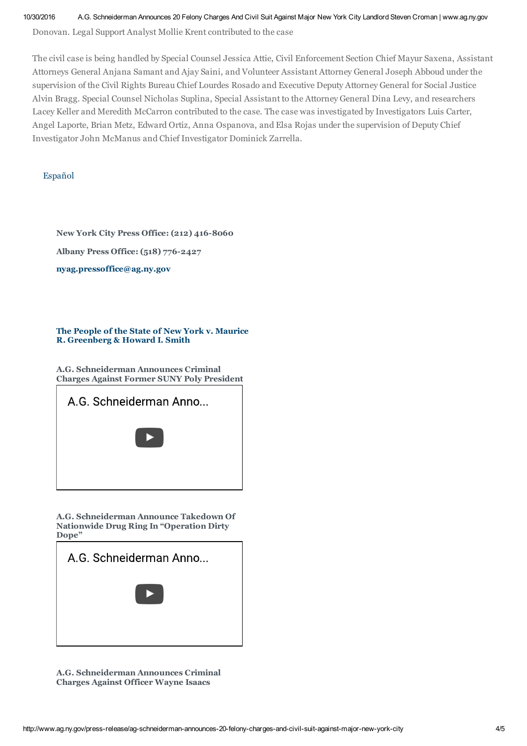10/30/2016 A.G. Schneiderman Announces 20 Felony Charges And Civil Suit Against Major New York City Landlord Steven Croman | www.ag.ny.gov

Donovan. Legal Support Analyst Mollie Krent contributed to the case

The civil case is being handled by Special Counsel Jessica Attie, Civil Enforcement Section Chief Mayur Saxena, Assistant Attorneys General Anjana Samant and Ajay Saini, and Volunteer Assistant Attorney General Joseph Abboud under the supervision of the Civil Rights Bureau Chief Lourdes Rosado and Executive Deputy Attorney General for Social Justice Alvin Bragg. Special Counsel Nicholas Suplina, Special Assistant to the Attorney General Dina Levy, and researchers Lacey Keller and Meredith McCarron contributed to the case. The case was investigated by Investigators Luis Carter, Angel Laporte, Brian Metz, Edward Ortiz, Anna Ospanova, and Elsa Rojas under the supervision of Deputy Chief Investigator John McManus and Chief Investigator Dominick Zarrella.

# Español

**New York City Press Office: (212) 416-8060**

**Albany Press Office: (518) 776-2427**

**nyag.pressoffice@ag.ny.gov**

### **The People of the State of New York v. Maurice R. Greenberg & Howard I. Smith**

**A.G. Schneiderman Announces Criminal Charges Against Former SUNY Poly President**



**A.G. Schneiderman Announce Takedown Of Nationwide Drug Ring In "Operation Dirty Dope"**



**A.G. Schneiderman Announces Criminal Charges Against Officer Wayne Isaacs**